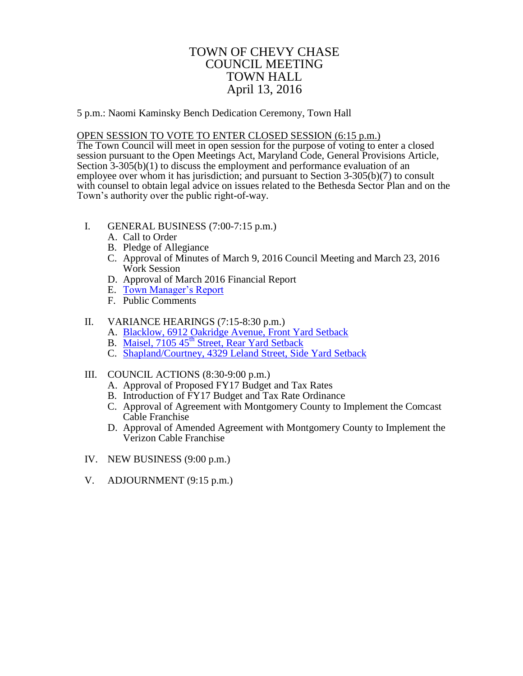## TOWN OF CHEVY CHASE COUNCIL MEETING TOWN HALL April 13, 2016

5 p.m.: Naomi Kaminsky Bench Dedication Ceremony, Town Hall

## OPEN SESSION TO VOTE TO ENTER CLOSED SESSION (6:15 p.m.)

The Town Council will meet in open session for the purpose of voting to enter a closed session pursuant to the Open Meetings Act, Maryland Code, General Provisions Article, Section 3-305(b)(1) to discuss the employment and performance evaluation of an employee over whom it has jurisdiction; and pursuant to Section 3-305(b)(7) to consult with counsel to obtain legal advice on issues related to the Bethesda Sector Plan and on the Town's authority over the public right-of-way.

- I. GENERAL BUSINESS (7:00-7:15 p.m.)
	- A. Call to Order
	- B. Pledge of Allegiance
	- C. Approval of Minutes of March 9, 2016 Council Meeting and March 23, 2016 Work Session
	- D. Approval of March 2016 Financial Report
	- E. [Town Manager's Report](#page-1-0)
	- F. Public Comments

## II. VARIANCE HEARINGS (7:15-8:30 p.m.)

- A. [Blacklow, 6912 Oakridge Avenue, Front Yard Setback](#page-2-0)
- B. Maisel, 7105 45<sup>th</sup> [Street, Rear Yard Setback](#page-3-0)
- C. [Shapland/Courtney, 4329 Leland Street, Side Yard Setback](#page-4-0)

## III. COUNCIL ACTIONS (8:30-9:00 p.m.)

- A. Approval of Proposed FY17 Budget and Tax Rates
- B. Introduction of FY17 Budget and Tax Rate Ordinance
- C. Approval of Agreement with Montgomery County to Implement the Comcast Cable Franchise
- D. Approval of Amended Agreement with Montgomery County to Implement the Verizon Cable Franchise
- IV. NEW BUSINESS (9:00 p.m.)
- V. ADJOURNMENT (9:15 p.m.)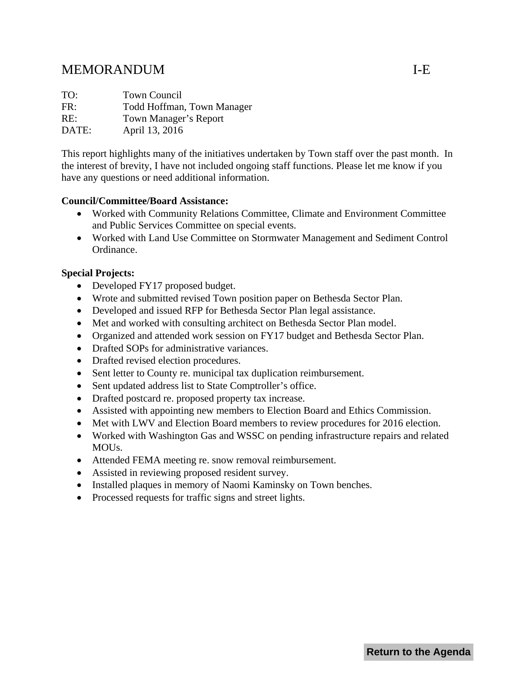# <span id="page-1-0"></span>MEMORANDUM I-E

TO: Town Council FR: Todd Hoffman, Town Manager RE: Town Manager's Report DATE: April 13, 2016

This report highlights many of the initiatives undertaken by Town staff over the past month. In the interest of brevity, I have not included ongoing staff functions. Please let me know if you have any questions or need additional information.

## **Council/Committee/Board Assistance:**

- Worked with Community Relations Committee, Climate and Environment Committee and Public Services Committee on special events.
- Worked with Land Use Committee on Stormwater Management and Sediment Control Ordinance.

## **Special Projects:**

- Developed FY17 proposed budget.
- Wrote and submitted revised Town position paper on Bethesda Sector Plan.
- Developed and issued RFP for Bethesda Sector Plan legal assistance.
- Met and worked with consulting architect on Bethesda Sector Plan model.
- Organized and attended work session on FY17 budget and Bethesda Sector Plan.
- Drafted SOPs for administrative variances.
- Drafted revised election procedures.
- Sent letter to County re. municipal tax duplication reimbursement.
- Sent updated address list to State Comptroller's office.
- Drafted postcard re. proposed property tax increase.
- Assisted with appointing new members to Election Board and Ethics Commission.
- Met with LWV and Election Board members to review procedures for 2016 election.
- Worked with Washington Gas and WSSC on pending infrastructure repairs and related MOUs.
- Attended FEMA meeting re. snow removal reimbursement.
- Assisted in reviewing proposed resident survey.
- Installed plaques in memory of Naomi Kaminsky on Town benches.
- Processed requests for traffic signs and street lights.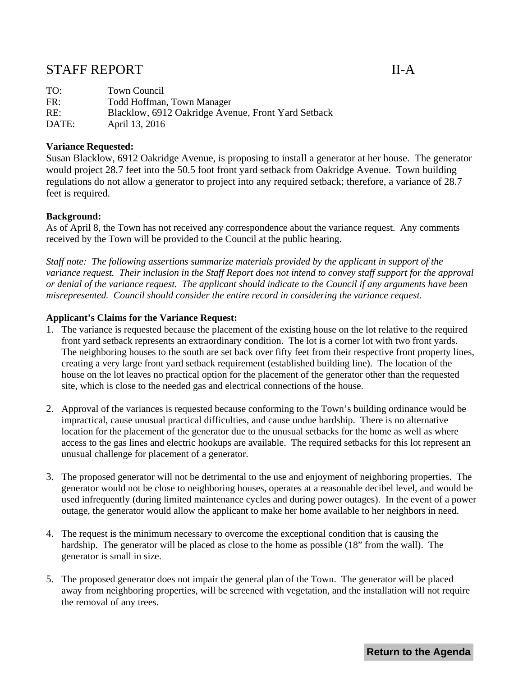## <span id="page-2-0"></span>STAFF REPORT II-A

| TO:   | Town Council                                       |
|-------|----------------------------------------------------|
| FR:   | Todd Hoffman, Town Manager                         |
| RE:   | Blacklow, 6912 Oakridge Avenue, Front Yard Setback |
| DATE: | April 13, 2016                                     |

### **Variance Requested:**

Susan Blacklow, 6912 Oakridge Avenue, is proposing to install a generator at her house. The generator would project 28.7 feet into the 50.5 foot front yard setback from Oakridge Avenue. Town building regulations do not allow a generator to project into any required setback; therefore, a variance of 28.7 feet is required.

#### **Background:**

As of April 8, the Town has not received any correspondence about the variance request. Any comments received by the Town will be provided to the Council at the public hearing.

*Staff note: The following assertions summarize materials provided by the applicant in support of the variance request. Their inclusion in the Staff Report does not intend to convey staff support for the approval or denial of the variance request. The applicant should indicate to the Council if any arguments have been misrepresented. Council should consider the entire record in considering the variance request.*

#### **Applicant's Claims for the Variance Request:**

- 1. The variance is requested because the placement of the existing house on the lot relative to the required front yard setback represents an extraordinary condition. The lot is a corner lot with two front yards. The neighboring houses to the south are set back over fifty feet from their respective front property lines, creating a very large front yard setback requirement (established building line). The location of the house on the lot leaves no practical option for the placement of the generator other than the requested site, which is close to the needed gas and electrical connections of the house.
- 2. Approval of the variances is requested because conforming to the Town's building ordinance would be impractical, cause unusual practical difficulties, and cause undue hardship. There is no alternative location for the placement of the generator due to the unusual setbacks for the home as well as where access to the gas lines and electric hookups are available. The required setbacks for this lot represent an unusual challenge for placement of a generator.
- 3. The proposed generator will not be detrimental to the use and enjoyment of neighboring properties. The generator would not be close to neighboring houses, operates at a reasonable decibel level, and would be used infrequently (during limited maintenance cycles and during power outages). In the event of a power outage, the generator would allow the applicant to make her home available to her neighbors in need.
- 4. The request is the minimum necessary to overcome the exceptional condition that is causing the hardship. The generator will be placed as close to the home as possible (18" from the wall). The generator is small in size.
- 5. The proposed generator does not impair the general plan of the Town. The generator will be placed away from neighboring properties, will be screened with vegetation, and the installation will not require the removal of any trees.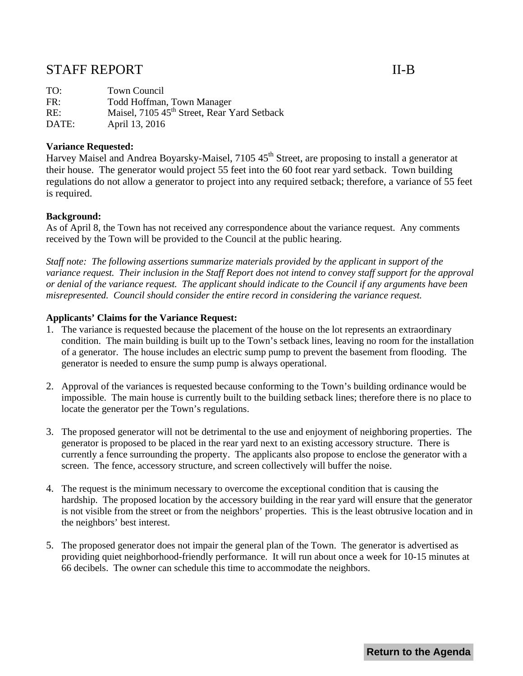## <span id="page-3-0"></span>STAFF REPORT II-B

TO: Town Council FR: Todd Hoffman, Town Manager RE: Maisel, 7105 45<sup>th</sup> Street, Rear Yard Setback DATE: April 13, 2016

## **Variance Requested:**

Harvey Maisel and Andrea Boyarsky-Maisel, 7105 45<sup>th</sup> Street, are proposing to install a generator at their house. The generator would project 55 feet into the 60 foot rear yard setback. Town building regulations do not allow a generator to project into any required setback; therefore, a variance of 55 feet is required.

#### **Background:**

As of April 8, the Town has not received any correspondence about the variance request. Any comments received by the Town will be provided to the Council at the public hearing.

*Staff note: The following assertions summarize materials provided by the applicant in support of the variance request. Their inclusion in the Staff Report does not intend to convey staff support for the approval or denial of the variance request. The applicant should indicate to the Council if any arguments have been misrepresented. Council should consider the entire record in considering the variance request.*

#### **Applicants' Claims for the Variance Request:**

- 1. The variance is requested because the placement of the house on the lot represents an extraordinary condition. The main building is built up to the Town's setback lines, leaving no room for the installation of a generator. The house includes an electric sump pump to prevent the basement from flooding. The generator is needed to ensure the sump pump is always operational.
- 2. Approval of the variances is requested because conforming to the Town's building ordinance would be impossible. The main house is currently built to the building setback lines; therefore there is no place to locate the generator per the Town's regulations.
- 3. The proposed generator will not be detrimental to the use and enjoyment of neighboring properties. The generator is proposed to be placed in the rear yard next to an existing accessory structure. There is currently a fence surrounding the property. The applicants also propose to enclose the generator with a screen. The fence, accessory structure, and screen collectively will buffer the noise.
- 4. The request is the minimum necessary to overcome the exceptional condition that is causing the hardship. The proposed location by the accessory building in the rear yard will ensure that the generator is not visible from the street or from the neighbors' properties. This is the least obtrusive location and in the neighbors' best interest.
- 5. The proposed generator does not impair the general plan of the Town. The generator is advertised as providing quiet neighborhood-friendly performance. It will run about once a week for 10-15 minutes at 66 decibels. The owner can schedule this time to accommodate the neighbors.

**Return to the Agenda**